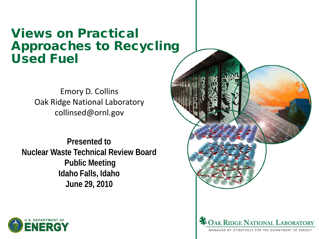## Views on Practical Approaches to Recycling Used Fuel

Emory D. Collins Oak Ridge National Laboratory collinsed@ornl.gov

**Presented to Nuclear Waste Technical Review Board Public Meeting Idaho Falls, Idaho June 29, 2010**



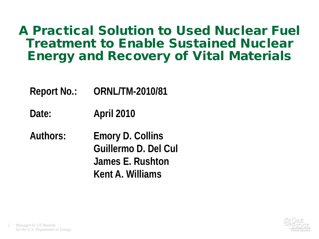# A Practical Solution to Used Nuclear Fuel Treatment to Enable Sustained Nuclear Energy and Recovery of Vital Materials

- **Report No.: ORNL/TM-2010/81**
- **Date: April 2010**
- **Authors: Emory D. Collins Guillermo D. Del Cul James E. Rushton Kent A. Williams**

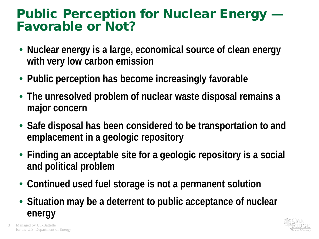# Public Perception for Nuclear Energy — Favorable or Not?

- **Nuclear energy is a large, economical source of clean energy with very low carbon emission**
- **Public perception has become increasingly favorable**
- **The unresolved problem of nuclear waste disposal remains a major concern**
- **Safe disposal has been considered to be transportation to and emplacement in a geologic repository**
- **Finding an acceptable site for a geologic repository is a social and political problem**
- **Continued used fuel storage is not a permanent solution**
- **Situation may be a deterrent to public acceptance of nuclear energy**



Managed by UT-Battelle for the U.S. Department of Energy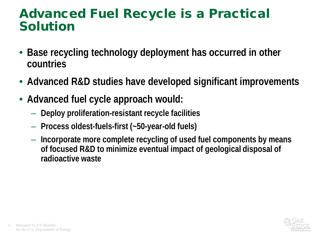## Advanced Fuel Recycle is a Practical Solution

- **Base recycling technology deployment has occurred in other countries**
- **Advanced R&D studies have developed significant improvements**
- **Advanced fuel cycle approach would:**
	- **Deploy proliferation-resistant recycle facilities**
	- **Process oldest-fuels-first (~50-year-old fuels)**
	- **Incorporate more complete recycling of used fuel components by means of focused R&D to minimize eventual impact of geological disposal of radioactive waste**

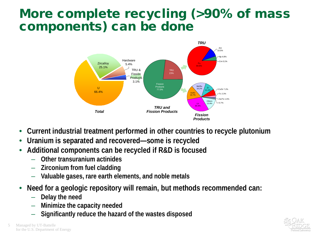# More complete recycling (>90% of mass components) can be done



- **Current industrial treatment performed in other countries to recycle plutonium**
- **Uranium is separated and recovered—some is recycled**
- **Additional components can be recycled if R&D is focused**
	- **Other transuranium actinides**
	- **Zirconium from fuel cladding**
	- **Valuable gases, rare earth elements, and noble metals**
- **Need for a geologic repository will remain, but methods recommended can:**
	- **Delay the need**
	- **Minimize the capacity needed**
	- **Significantly reduce the hazard of the wastes disposed**

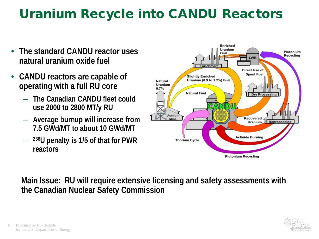# Uranium Recycle into CANDU Reactors

- **The standard CANDU reactor uses natural uranium oxide fuel**
- **CANDU reactors are capable of operating with a full RU core**
	- **The Canadian CANDU fleet could use 2000 to 2800 MT/y RU**
	- **Average burnup will increase from 7.5 GWd/MT to about 10 GWd/MT**
	- **236U penalty is 1/5 of that for PWR reactors**



#### **Main Issue: RU will require extensive licensing and safety assessments with the Canadian Nuclear Safety Commission**

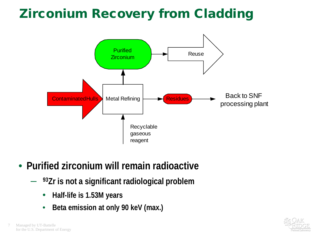# Zirconium Recovery from Cladding



- **Purified zirconium will remain radioactive**
	- **93Zr is not a significant radiological problem**
		- **Half-life is 1.53M years**
		- **Beta emission at only 90 keV (max.)**

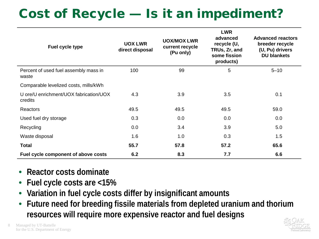# Cost of Recycle — Is it an impediment?

| Fuel cycle type                                   | <b>UOX LWR</b><br>direct disposal | <b>UOX/MOX LWR</b><br>current recycle<br>(Pu only) | <b>LWR</b><br>advanced<br>recycle (U,<br>TRUs, Zr, and<br>some fission<br>products) | <b>Advanced reactors</b><br>breeder recycle<br>(U, Pu) drivers<br><b>DU blankets</b> |
|---------------------------------------------------|-----------------------------------|----------------------------------------------------|-------------------------------------------------------------------------------------|--------------------------------------------------------------------------------------|
| Percent of used fuel assembly mass in<br>waste    | 100                               | 99                                                 | 5                                                                                   | $5 - 10$                                                                             |
| Comparable levelized costs, mills/kWh             |                                   |                                                    |                                                                                     |                                                                                      |
| U ore/U enrichment/UOX fabrication/UOX<br>credits | 4.3                               | 3.9                                                | 3.5                                                                                 | 0.1                                                                                  |
| Reactors                                          | 49.5                              | 49.5                                               | 49.5                                                                                | 59.0                                                                                 |
| Used fuel dry storage                             | 0.3                               | 0.0                                                | 0.0                                                                                 | 0.0                                                                                  |
| Recycling                                         | 0.0                               | 3.4                                                | 3.9                                                                                 | 5.0                                                                                  |
| Waste disposal                                    | 1.6                               | 1.0                                                | 0.3                                                                                 | 1.5                                                                                  |
| <b>Total</b>                                      | 55.7                              | 57.8                                               | 57.2                                                                                | 65.6                                                                                 |
| Fuel cycle component of above costs               | 6.2                               | 8.3                                                | 7.7                                                                                 | 6.6                                                                                  |

- **Reactor costs dominate**
- **Fuel cycle costs are <15%**
- **Variation in fuel cycle costs differ by insignificant amounts**
- **Future need for breeding fissile materials from depleted uranium and thorium resources will require more expensive reactor and fuel designs**

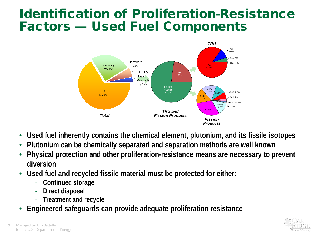# Identification of Proliferation-Resistance Factors — Used Fuel Components



- **Used fuel inherently contains the chemical element, plutonium, and its fissile isotopes**
- **Plutonium can be chemically separated and separation methods are well known**
- **Physical protection and other proliferation-resistance means are necessary to prevent diversion**
- **Used fuel and recycled fissile material must be protected for either:**
	- **Continued storage**
	- **Direct disposal**
	- **Treatment and recycle**
- **Engineered safeguards can provide adequate proliferation resistance**

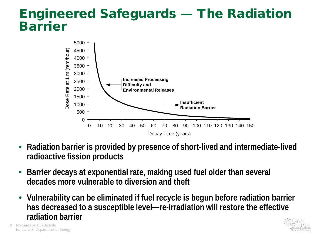## Engineered Safeguards — The Radiation Barrier



- **Radiation barrier is provided by presence of short-lived and intermediate-lived radioactive fission products**
- **Barrier decays at exponential rate, making used fuel older than several decades more vulnerable to diversion and theft**
- **Vulnerability can be eliminated if fuel recycle is begun before radiation barrier has decreased to a susceptible level—re-irradiation will restore the effective radiation barrier**



10 Managed by UT-Battelle for the U.S. Department of Energy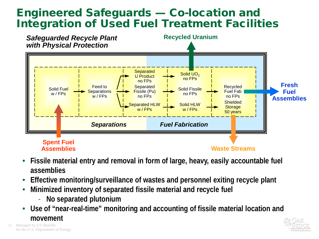### Engineered Safeguards — Co-location and Integration of Used Fuel Treatment Facilities



- **Fissile material entry and removal in form of large, heavy, easily accountable fuel assemblies**
- **Effective monitoring/surveillance of wastes and personnel exiting recycle plant**
- **Minimized inventory of separated fissile material and recycle fuel**
	- **No separated plutonium**
- **Use of "near-real-time" monitoring and accounting of fissile material location and movement**

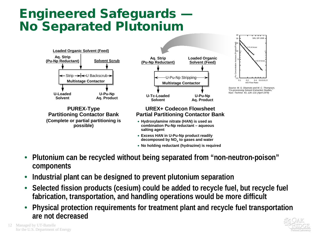# Engineered Safeguards — No Separated Plutonium



- **No holding reductant (hydrazine) is required**
- **Plutonium can be recycled without being separated from "non-neutron-poison" components**
- **Industrial plant can be designed to prevent plutonium separation**
- **Selected fission products (cesium) could be added to recycle fuel, but recycle fuel fabrication, transportation, and handling operations would be more difficult**
- **Physical protection requirements for treatment plant and recycle fuel transportation are not decreased**



12 Managed by UT-Battelle for the U.S. Department of Energy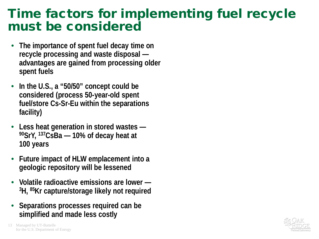## Time factors for implementing fuel recycle must be considered

- **The importance of spent fuel decay time on recycle processing and waste disposal advantages are gained from processing older spent fuels**
- **In the U.S., a "50/50" concept could be considered (process 50-year-old spent fuel/store Cs-Sr-Eu within the separations facility)**
- **Less heat generation in stored wastes — 90SrY, 137CsBa — 10% of decay heat at 100 years**
- **Future impact of HLW emplacement into a geologic repository will be lessened**
- **Volatile radioactive emissions are lower — 3H, 85Kr capture/storage likely not required**
- **Separations processes required can be simplified and made less costly**

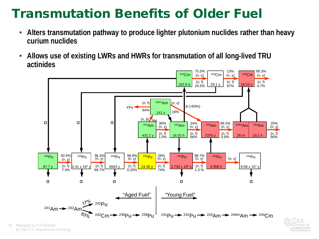# Transmutation Benefits of Older Fuel

- **Alters transmutation pathway to produce lighter plutonium nuclides rather than heavy curium nuclides**
- **Allows use of existing LWRs and HWRs for transmutation of all long-lived TRU actinides**



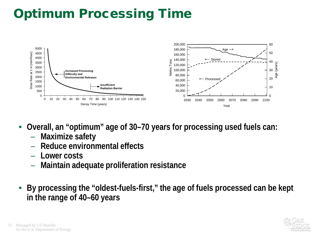# Optimum Processing Time



- **Overall, an "optimum" age of 30–70 years for processing used fuels can:**
	- **Maximize safety**
	- **Reduce environmental effects**
	- **Lower costs**
	- **Maintain adequate proliferation resistance**
- **By processing the "oldest-fuels-first," the age of fuels processed can be kept in the range of 40–60 years**

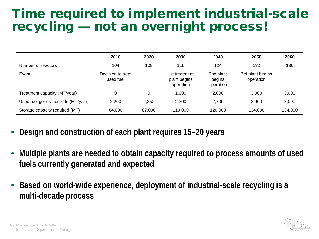# Time required to implement industrial-scale recycling — not an overnight process!

|                                     | 2010                           | 2020   | 2030                                       | 2040                             | 2050                          | 2060    |
|-------------------------------------|--------------------------------|--------|--------------------------------------------|----------------------------------|-------------------------------|---------|
| Number of reactors                  | 104                            | 108    | 116                                        | 124                              | 132                           | 136     |
| Event                               | Decision to treat<br>used fuel |        | 1st treatment<br>plant begins<br>operation | 2nd plant<br>begins<br>operation | 3rd plant begins<br>operation |         |
| Treatment capacity (MT/year)        | 0                              | 0      | 1,000                                      | 2,000                            | 3,000                         | 3,000   |
| Used fuel generation rate (MT/year) | 2,200                          | 2.250  | 2,300                                      | 2.700                            | 2,900                         | 3,000   |
| Storage capacity required (MT)      | 64,000                         | 87,000 | 110,000                                    | 126,000                          | 134.000                       | 134,000 |

- **Design and construction of each plant requires 15–20 years**
- **Multiple plants are needed to obtain capacity required to process amounts of used fuels currently generated and expected**
- **Based on world-wide experience, deployment of industrial-scale recycling is a multi-decade process**

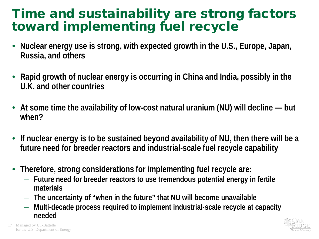# Time and sustainability are strong factors toward implementing fuel recycle

- **Nuclear energy use is strong, with expected growth in the U.S., Europe, Japan, Russia, and others**
- **Rapid growth of nuclear energy is occurring in China and India, possibly in the U.K. and other countries**
- **At some time the availability of low-cost natural uranium (NU) will decline — but when?**
- **If nuclear energy is to be sustained beyond availability of NU, then there will be a future need for breeder reactors and industrial-scale fuel recycle capability**
- **Therefore, strong considerations for implementing fuel recycle are:**
	- **Future need for breeder reactors to use tremendous potential energy in fertile materials**
	- **The uncertainty of "when in the future" that NU will become unavailable**
	- **Multi-decade process required to implement industrial-scale recycle at capacity needed**

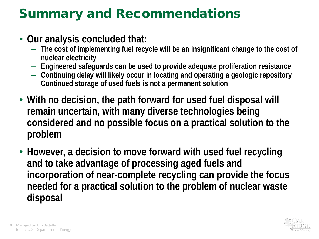# Summary and Recommendations

#### • **Our analysis concluded that:**

- **The cost of implementing fuel recycle will be an insignificant change to the cost of nuclear electricity**
- **Engineered safeguards can be used to provide adequate proliferation resistance**
- **Continuing delay will likely occur in locating and operating a geologic repository**
- **Continued storage of used fuels is not a permanent solution**
- **With no decision, the path forward for used fuel disposal will remain uncertain, with many diverse technologies being considered and no possible focus on a practical solution to the problem**
- **However, a decision to move forward with used fuel recycling and to take advantage of processing aged fuels and incorporation of near-complete recycling can provide the focus needed for a practical solution to the problem of nuclear waste disposal**

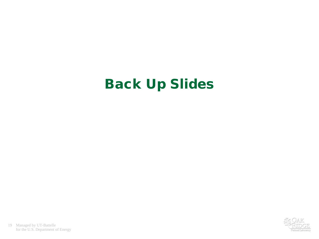# Back Up Slides

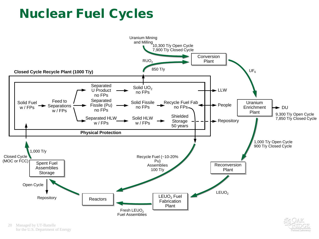# Nuclear Fuel Cycles



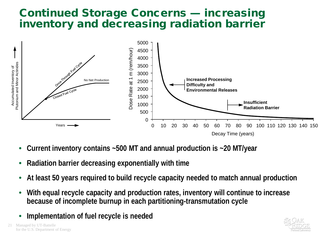#### Continued Storage Concerns — increasing inventory and decreasing radiation barrier



- **Current inventory contains ~500 MT and annual production is ~20 MT/year**
- **Radiation barrier decreasing exponentially with time**
- **At least 50 years required to build recycle capacity needed to match annual production**
- **With equal recycle capacity and production rates, inventory will continue to increase because of incomplete burnup in each partitioning-transmutation cycle**
- **Implementation of fuel recycle is needed**

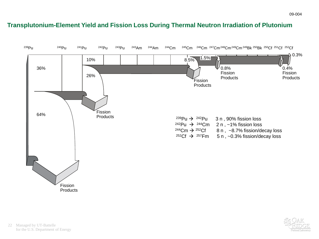#### **Transplutonium-Element Yield and Fission Loss During Thermal Neutron Irradiation of Plutonium**



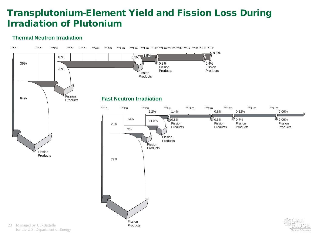#### Transplutonium-Element Yield and Fission Loss During Irradiation of Plutonium

#### **Thermal Neutron Irradiation**

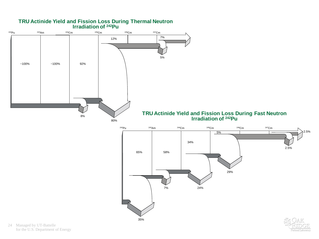

ational Laborator

#### **TRU Actinide Yield and Fission Loss During Thermal Neutron Irradiation of 242Pu**

24 Managed by UT-Battelle for the U.S. Department of Energy